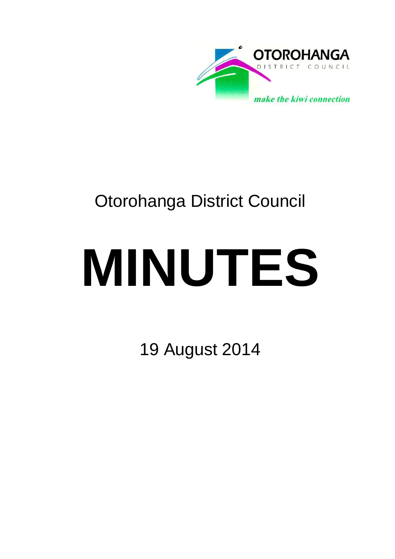

# Otorohanga District Council

# **MINUTES**

19 August 2014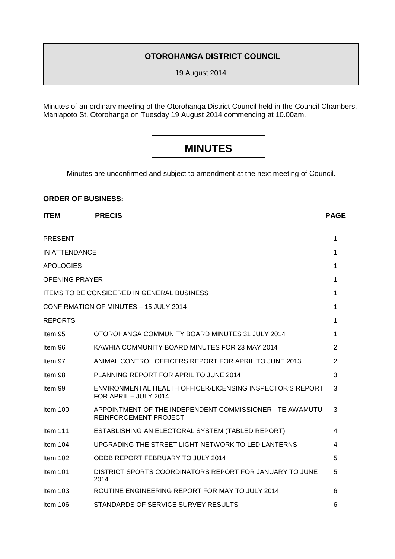# **OTOROHANGA DISTRICT COUNCIL**

19 August 2014

Minutes of an ordinary meeting of the Otorohanga District Council held in the Council Chambers, Maniapoto St, Otorohanga on Tuesday 19 August 2014 commencing at 10.00am.

# **MINUTES**

Minutes are unconfirmed and subject to amendment at the next meeting of Council.

# **ORDER OF BUSINESS:**

| <b>ITEM</b>           | <b>PRECIS</b>                                                                      | <b>PAGE</b>    |
|-----------------------|------------------------------------------------------------------------------------|----------------|
| <b>PRESENT</b>        |                                                                                    | 1              |
| <b>IN ATTENDANCE</b>  |                                                                                    | 1              |
| <b>APOLOGIES</b>      |                                                                                    | 1              |
| <b>OPENING PRAYER</b> |                                                                                    | 1              |
|                       | <b>ITEMS TO BE CONSIDERED IN GENERAL BUSINESS</b>                                  | 1              |
|                       | <b>CONFIRMATION OF MINUTES - 15 JULY 2014</b>                                      | 1              |
| <b>REPORTS</b>        |                                                                                    | 1              |
| Item 95               | OTOROHANGA COMMUNITY BOARD MINUTES 31 JULY 2014                                    | 1              |
| Item 96               | KAWHIA COMMUNITY BOARD MINUTES FOR 23 MAY 2014                                     | 2              |
| Item 97               | ANIMAL CONTROL OFFICERS REPORT FOR APRIL TO JUNE 2013                              | $\overline{2}$ |
| Item 98               | PLANNING REPORT FOR APRIL TO JUNE 2014                                             | 3              |
| Item 99               | ENVIRONMENTAL HEALTH OFFICER/LICENSING INSPECTOR'S REPORT<br>FOR APRIL - JULY 2014 | 3              |
| Item $100$            | APPOINTMENT OF THE INDEPENDENT COMMISSIONER - TE AWAMUTU<br>REINFORCEMENT PROJECT  | 3              |
| Item $111$            | ESTABLISHING AN ELECTORAL SYSTEM (TABLED REPORT)                                   | 4              |
| Item $104$            | UPGRADING THE STREET LIGHT NETWORK TO LED LANTERNS                                 | 4              |
| Item 102              | ODDB REPORT FEBRUARY TO JULY 2014                                                  | 5              |
| Item 101              | DISTRICT SPORTS COORDINATORS REPORT FOR JANUARY TO JUNE<br>2014                    | 5              |
| Item 103              | ROUTINE ENGINEERING REPORT FOR MAY TO JULY 2014                                    | 6              |
| Item 106              | STANDARDS OF SERVICE SURVEY RESULTS                                                | 6              |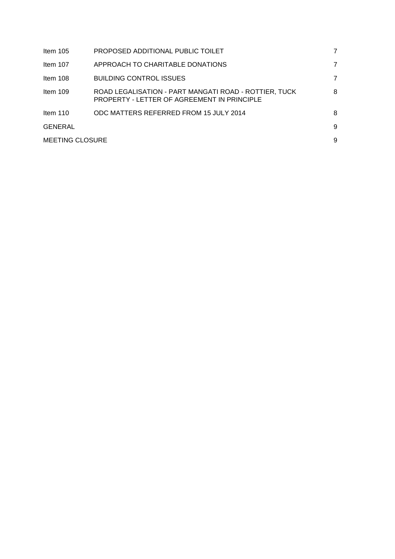| Item $105$      | PROPOSED ADDITIONAL PUBLIC TOILET                                                                    | 7 |
|-----------------|------------------------------------------------------------------------------------------------------|---|
| Item 107        | APPROACH TO CHARITABLE DONATIONS                                                                     | 7 |
| Item 108        | <b>BUILDING CONTROL ISSUES</b>                                                                       | 7 |
| Item 109        | ROAD LEGALISATION - PART MANGATI ROAD - ROTTIER, TUCK<br>PROPERTY - LETTER OF AGREEMENT IN PRINCIPLE | 8 |
| Item $110$      | ODC MATTERS REFERRED FROM 15 JULY 2014                                                               | 8 |
| <b>GENERAL</b>  |                                                                                                      | 9 |
| MEETING CLOSURE |                                                                                                      | 9 |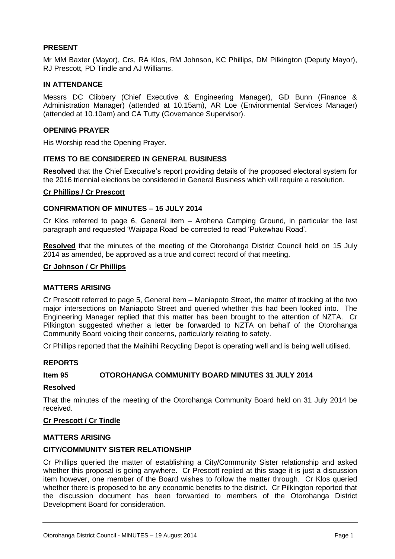# **PRESENT**

Mr MM Baxter (Mayor), Crs, RA Klos, RM Johnson, KC Phillips, DM Pilkington (Deputy Mayor), RJ Prescott, PD Tindle and AJ Williams.

# **IN ATTENDANCE**

Messrs DC Clibbery (Chief Executive & Engineering Manager), GD Bunn (Finance & Administration Manager) (attended at 10.15am), AR Loe (Environmental Services Manager) (attended at 10.10am) and CA Tutty (Governance Supervisor).

# **OPENING PRAYER**

His Worship read the Opening Prayer.

# **ITEMS TO BE CONSIDERED IN GENERAL BUSINESS**

**Resolved** that the Chief Executive's report providing details of the proposed electoral system for the 2016 triennial elections be considered in General Business which will require a resolution.

#### **Cr Phillips / Cr Prescott**

#### **CONFIRMATION OF MINUTES – 15 JULY 2014**

Cr Klos referred to page 6, General item – Arohena Camping Ground, in particular the last paragraph and requested 'Waipapa Road' be corrected to read 'Pukewhau Road'.

**Resolved** that the minutes of the meeting of the Otorohanga District Council held on 15 July 2014 as amended, be approved as a true and correct record of that meeting.

#### **Cr Johnson / Cr Phillips**

#### **MATTERS ARISING**

Cr Prescott referred to page 5, General item – Maniapoto Street, the matter of tracking at the two major intersections on Maniapoto Street and queried whether this had been looked into. The Engineering Manager replied that this matter has been brought to the attention of NZTA. Cr Pilkington suggested whether a letter be forwarded to NZTA on behalf of the Otorohanga Community Board voicing their concerns, particularly relating to safety.

Cr Phillips reported that the Maihiihi Recycling Depot is operating well and is being well utilised.

#### **REPORTS**

#### **Item 95 OTOROHANGA COMMUNITY BOARD MINUTES 31 JULY 2014**

#### **Resolved**

That the minutes of the meeting of the Otorohanga Community Board held on 31 July 2014 be received.

#### **Cr Prescott / Cr Tindle**

#### **MATTERS ARISING**

#### **CITY/COMMUNITY SISTER RELATIONSHIP**

Cr Phillips queried the matter of establishing a City/Community Sister relationship and asked whether this proposal is going anywhere. Cr Prescott replied at this stage it is just a discussion item however, one member of the Board wishes to follow the matter through. Cr Klos queried whether there is proposed to be any economic benefits to the district. Cr Pilkington reported that the discussion document has been forwarded to members of the Otorohanga District Development Board for consideration.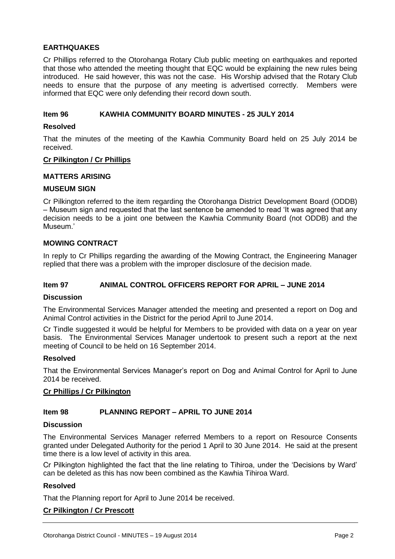# **EARTHQUAKES**

Cr Phillips referred to the Otorohanga Rotary Club public meeting on earthquakes and reported that those who attended the meeting thought that EQC would be explaining the new rules being introduced. He said however, this was not the case. His Worship advised that the Rotary Club needs to ensure that the purpose of any meeting is advertised correctly. Members were informed that EQC were only defending their record down south.

# **Item 96 KAWHIA COMMUNITY BOARD MINUTES - 25 JULY 2014**

#### **Resolved**

That the minutes of the meeting of the Kawhia Community Board held on 25 July 2014 be received.

# **Cr Pilkington / Cr Phillips**

#### **MATTERS ARISING**

#### **MUSEUM SIGN**

Cr Pilkington referred to the item regarding the Otorohanga District Development Board (ODDB) – Museum sign and requested that the last sentence be amended to read 'It was agreed that any decision needs to be a joint one between the Kawhia Community Board (not ODDB) and the Museum.'

# **MOWING CONTRACT**

In reply to Cr Phillips regarding the awarding of the Mowing Contract, the Engineering Manager replied that there was a problem with the improper disclosure of the decision made.

# **Item 97 ANIMAL CONTROL OFFICERS REPORT FOR APRIL – JUNE 2014**

#### **Discussion**

The Environmental Services Manager attended the meeting and presented a report on Dog and Animal Control activities in the District for the period April to June 2014.

Cr Tindle suggested it would be helpful for Members to be provided with data on a year on year basis. The Environmental Services Manager undertook to present such a report at the next meeting of Council to be held on 16 September 2014.

#### **Resolved**

That the Environmental Services Manager's report on Dog and Animal Control for April to June 2014 be received.

#### **Cr Phillips / Cr Pilkington**

# **Item 98 PLANNING REPORT – APRIL TO JUNE 2014**

#### **Discussion**

The Environmental Services Manager referred Members to a report on Resource Consents granted under Delegated Authority for the period 1 April to 30 June 2014. He said at the present time there is a low level of activity in this area.

Cr Pilkington highlighted the fact that the line relating to Tihiroa, under the 'Decisions by Ward' can be deleted as this has now been combined as the Kawhia Tihiroa Ward.

# **Resolved**

That the Planning report for April to June 2014 be received.

# **Cr Pilkington / Cr Prescott**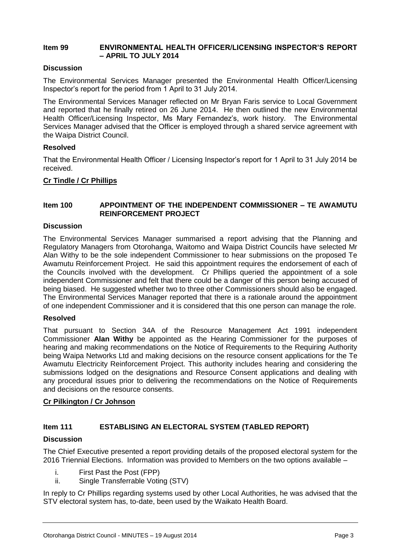#### **Item 99 ENVIRONMENTAL HEALTH OFFICER/LICENSING INSPECTOR'S REPORT – APRIL TO JULY 2014**

# **Discussion**

The Environmental Services Manager presented the Environmental Health Officer/Licensing Inspector's report for the period from 1 April to 31 July 2014.

The Environmental Services Manager reflected on Mr Bryan Faris service to Local Government and reported that he finally retired on 26 June 2014. He then outlined the new Environmental Health Officer/Licensing Inspector, Ms Mary Fernandez's, work history. The Environmental Services Manager advised that the Officer is employed through a shared service agreement with the Waipa District Council.

#### **Resolved**

That the Environmental Health Officer / Licensing Inspector's report for 1 April to 31 July 2014 be received.

# **Cr Tindle / Cr Phillips**

# **Item 100 APPOINTMENT OF THE INDEPENDENT COMMISSIONER – TE AWAMUTU REINFORCEMENT PROJECT**

#### **Discussion**

The Environmental Services Manager summarised a report advising that the Planning and Regulatory Managers from Otorohanga, Waitomo and Waipa District Councils have selected Mr Alan Withy to be the sole independent Commissioner to hear submissions on the proposed Te Awamutu Reinforcement Project. He said this appointment requires the endorsement of each of the Councils involved with the development. Cr Phillips queried the appointment of a sole independent Commissioner and felt that there could be a danger of this person being accused of being biased. He suggested whether two to three other Commissioners should also be engaged. The Environmental Services Manager reported that there is a rationale around the appointment of one independent Commissioner and it is considered that this one person can manage the role.

#### **Resolved**

That pursuant to Section 34A of the Resource Management Act 1991 independent Commissioner **Alan Withy** be appointed as the Hearing Commissioner for the purposes of hearing and making recommendations on the Notice of Requirements to the Requiring Authority being Waipa Networks Ltd and making decisions on the resource consent applications for the Te Awamutu Electricity Reinforcement Project. This authority includes hearing and considering the submissions lodged on the designations and Resource Consent applications and dealing with any procedural issues prior to delivering the recommendations on the Notice of Requirements and decisions on the resource consents.

#### **Cr Pilkington / Cr Johnson**

# **Item 111 ESTABLISING AN ELECTORAL SYSTEM (TABLED REPORT)**

#### **Discussion**

The Chief Executive presented a report providing details of the proposed electoral system for the 2016 Triennial Elections. Information was provided to Members on the two options available –

- i. First Past the Post (FPP)
- ii. Single Transferrable Voting (STV)

In reply to Cr Phillips regarding systems used by other Local Authorities, he was advised that the STV electoral system has, to-date, been used by the Waikato Health Board.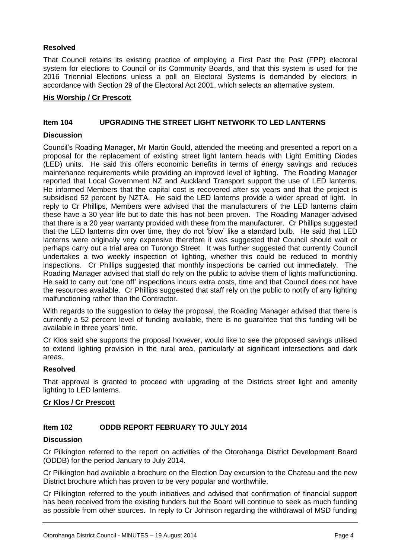# **Resolved**

That Council retains its existing practice of employing a First Past the Post (FPP) electoral system for elections to Council or its Community Boards, and that this system is used for the 2016 Triennial Elections unless a poll on Electoral Systems is demanded by electors in accordance with Section 29 of the Electoral Act 2001, which selects an alternative system.

# **His Worship / Cr Prescott**

# **Item 104 UPGRADING THE STREET LIGHT NETWORK TO LED LANTERNS**

# **Discussion**

Council's Roading Manager, Mr Martin Gould, attended the meeting and presented a report on a proposal for the replacement of existing street light lantern heads with Light Emitting Diodes (LED) units. He said this offers economic benefits in terms of energy savings and reduces maintenance requirements while providing an improved level of lighting. The Roading Manager reported that Local Government NZ and Auckland Transport support the use of LED lanterns. He informed Members that the capital cost is recovered after six years and that the project is subsidised 52 percent by NZTA. He said the LED lanterns provide a wider spread of light. In reply to Cr Phillips, Members were advised that the manufacturers of the LED lanterns claim these have a 30 year life but to date this has not been proven. The Roading Manager advised that there is a 20 year warranty provided with these from the manufacturer. Cr Phillips suggested that the LED lanterns dim over time, they do not 'blow' like a standard bulb. He said that LED lanterns were originally very expensive therefore it was suggested that Council should wait or perhaps carry out a trial area on Turongo Street. It was further suggested that currently Council undertakes a two weekly inspection of lighting, whether this could be reduced to monthly inspections. Cr Phillips suggested that monthly inspections be carried out immediately. The Roading Manager advised that staff do rely on the public to advise them of lights malfunctioning. He said to carry out 'one off' inspections incurs extra costs, time and that Council does not have the resources available. Cr Phillips suggested that staff rely on the public to notify of any lighting malfunctioning rather than the Contractor.

With regards to the suggestion to delay the proposal, the Roading Manager advised that there is currently a 52 percent level of funding available, there is no guarantee that this funding will be available in three years' time.

Cr Klos said she supports the proposal however, would like to see the proposed savings utilised to extend lighting provision in the rural area, particularly at significant intersections and dark areas.

# **Resolved**

That approval is granted to proceed with upgrading of the Districts street light and amenity lighting to LED lanterns.

# **Cr Klos / Cr Prescott**

# **Item 102 ODDB REPORT FEBRUARY TO JULY 2014**

# **Discussion**

Cr Pilkington referred to the report on activities of the Otorohanga District Development Board (ODDB) for the period January to July 2014.

Cr Pilkington had available a brochure on the Election Day excursion to the Chateau and the new District brochure which has proven to be very popular and worthwhile.

Cr Pilkington referred to the youth initiatives and advised that confirmation of financial support has been received from the existing funders but the Board will continue to seek as much funding as possible from other sources. In reply to Cr Johnson regarding the withdrawal of MSD funding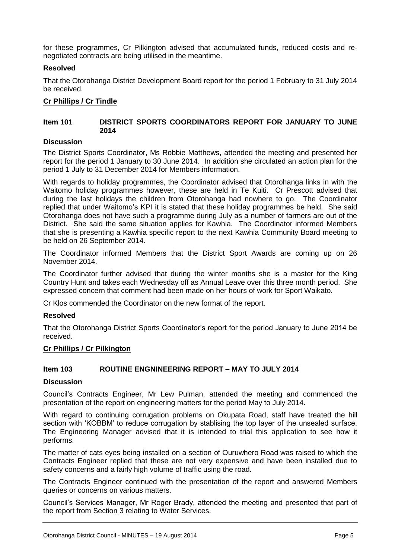for these programmes, Cr Pilkington advised that accumulated funds, reduced costs and renegotiated contracts are being utilised in the meantime.

# **Resolved**

That the Otorohanga District Development Board report for the period 1 February to 31 July 2014 be received.

# **Cr Phillips / Cr Tindle**

#### **Item 101 DISTRICT SPORTS COORDINATORS REPORT FOR JANUARY TO JUNE 2014**

#### **Discussion**

The District Sports Coordinator, Ms Robbie Matthews, attended the meeting and presented her report for the period 1 January to 30 June 2014. In addition she circulated an action plan for the period 1 July to 31 December 2014 for Members information.

With regards to holiday programmes, the Coordinator advised that Otorohanga links in with the Waitomo holiday programmes however, these are held in Te Kuiti. Cr Prescott advised that during the last holidays the children from Otorohanga had nowhere to go. The Coordinator replied that under Waitomo's KPI it is stated that these holiday programmes be held. She said Otorohanga does not have such a programme during July as a number of farmers are out of the District. She said the same situation applies for Kawhia. The Coordinator informed Members that she is presenting a Kawhia specific report to the next Kawhia Community Board meeting to be held on 26 September 2014.

The Coordinator informed Members that the District Sport Awards are coming up on 26 November 2014.

The Coordinator further advised that during the winter months she is a master for the King Country Hunt and takes each Wednesday off as Annual Leave over this three month period. She expressed concern that comment had been made on her hours of work for Sport Waikato.

Cr Klos commended the Coordinator on the new format of the report.

#### **Resolved**

That the Otorohanga District Sports Coordinator's report for the period January to June 2014 be received.

#### **Cr Phillips / Cr Pilkington**

# **Item 103 ROUTINE ENGNINEERING REPORT – MAY TO JULY 2014**

#### **Discussion**

Council's Contracts Engineer, Mr Lew Pulman, attended the meeting and commenced the presentation of the report on engineering matters for the period May to July 2014.

With regard to continuing corrugation problems on Okupata Road, staff have treated the hill section with 'KOBBM' to reduce corrugation by stablising the top layer of the unsealed surface. The Engineering Manager advised that it is intended to trial this application to see how it performs.

The matter of cats eyes being installed on a section of Ouruwhero Road was raised to which the Contracts Engineer replied that these are not very expensive and have been installed due to safety concerns and a fairly high volume of traffic using the road.

The Contracts Engineer continued with the presentation of the report and answered Members queries or concerns on various matters.

Council's Services Manager, Mr Roger Brady, attended the meeting and presented that part of the report from Section 3 relating to Water Services.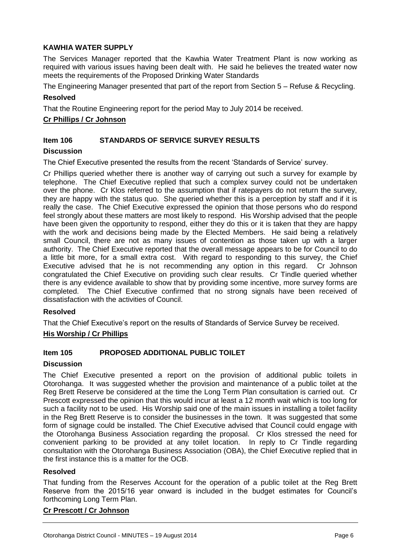# **KAWHIA WATER SUPPLY**

The Services Manager reported that the Kawhia Water Treatment Plant is now working as required with various issues having been dealt with. He said he believes the treated water now meets the requirements of the Proposed Drinking Water Standards

The Engineering Manager presented that part of the report from Section 5 – Refuse & Recycling.

#### **Resolved**

That the Routine Engineering report for the period May to July 2014 be received.

# **Cr Phillips / Cr Johnson**

# **Item 106 STANDARDS OF SERVICE SURVEY RESULTS**

#### **Discussion**

The Chief Executive presented the results from the recent 'Standards of Service' survey.

Cr Phillips queried whether there is another way of carrying out such a survey for example by telephone. The Chief Executive replied that such a complex survey could not be undertaken over the phone. Cr Klos referred to the assumption that if ratepayers do not return the survey, they are happy with the status quo. She queried whether this is a perception by staff and if it is really the case. The Chief Executive expressed the opinion that those persons who do respond feel strongly about these matters are most likely to respond. His Worship advised that the people have been given the opportunity to respond, either they do this or it is taken that they are happy with the work and decisions being made by the Elected Members. He said being a relatively small Council, there are not as many issues of contention as those taken up with a larger authority. The Chief Executive reported that the overall message appears to be for Council to do a little bit more, for a small extra cost. With regard to responding to this survey, the Chief Executive advised that he is not recommending any option in this regard. Cr Johnson congratulated the Chief Executive on providing such clear results. Cr Tindle queried whether there is any evidence available to show that by providing some incentive, more survey forms are completed. The Chief Executive confirmed that no strong signals have been received of dissatisfaction with the activities of Council.

#### **Resolved**

That the Chief Executive's report on the results of Standards of Service Survey be received.

# **His Worship / Cr Phillips**

# **Item 105 PROPOSED ADDITIONAL PUBLIC TOILET**

#### **Discussion**

The Chief Executive presented a report on the provision of additional public toilets in Otorohanga. It was suggested whether the provision and maintenance of a public toilet at the Reg Brett Reserve be considered at the time the Long Term Plan consultation is carried out. Cr Prescott expressed the opinion that this would incur at least a 12 month wait which is too long for such a facility not to be used. His Worship said one of the main issues in installing a toilet facility in the Reg Brett Reserve is to consider the businesses in the town. It was suggested that some form of signage could be installed. The Chief Executive advised that Council could engage with the Otorohanga Business Association regarding the proposal. Cr Klos stressed the need for convenient parking to be provided at any toilet location. In reply to Cr Tindle regarding consultation with the Otorohanga Business Association (OBA), the Chief Executive replied that in the first instance this is a matter for the OCB.

#### **Resolved**

That funding from the Reserves Account for the operation of a public toilet at the Reg Brett Reserve from the 2015/16 year onward is included in the budget estimates for Council's forthcoming Long Term Plan.

#### **Cr Prescott / Cr Johnson**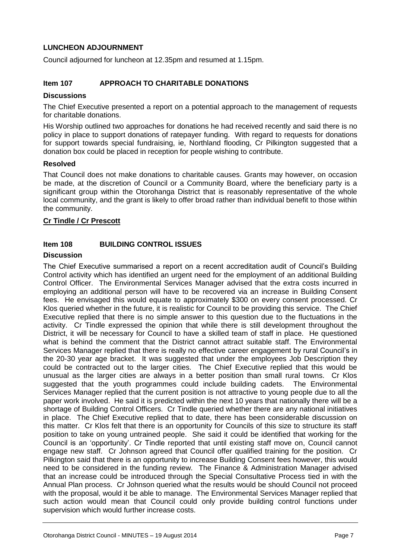# **LUNCHEON ADJOURNMENT**

Council adjourned for luncheon at 12.35pm and resumed at 1.15pm.

# **Item 107 APPROACH TO CHARITABLE DONATIONS**

# **Discussions**

The Chief Executive presented a report on a potential approach to the management of requests for charitable donations.

His Worship outlined two approaches for donations he had received recently and said there is no policy in place to support donations of ratepayer funding. With regard to requests for donations for support towards special fundraising, ie, Northland flooding, Cr Pilkington suggested that a donation box could be placed in reception for people wishing to contribute.

#### **Resolved**

That Council does not make donations to charitable causes. Grants may however, on occasion be made, at the discretion of Council or a Community Board, where the beneficiary party is a significant group within the Otorohanga District that is reasonably representative of the whole local community, and the grant is likely to offer broad rather than individual benefit to those within the community.

#### **Cr Tindle / Cr Prescott**

# **Item 108 BUILDING CONTROL ISSUES**

#### **Discussion**

The Chief Executive summarised a report on a recent accreditation audit of Council's Building Control activity which has identified an urgent need for the employment of an additional Building Control Officer. The Environmental Services Manager advised that the extra costs incurred in employing an additional person will have to be recovered via an increase in Building Consent fees. He envisaged this would equate to approximately \$300 on every consent processed. Cr Klos queried whether in the future, it is realistic for Council to be providing this service. The Chief Executive replied that there is no simple answer to this question due to the fluctuations in the activity. Cr Tindle expressed the opinion that while there is still development throughout the District, it will be necessary for Council to have a skilled team of staff in place. He questioned what is behind the comment that the District cannot attract suitable staff. The Environmental Services Manager replied that there is really no effective career engagement by rural Council's in the 20-30 year age bracket. It was suggested that under the employees Job Description they could be contracted out to the larger cities. The Chief Executive replied that this would be unusual as the larger cities are always in a better position than small rural towns. Cr Klos suggested that the youth programmes could include building cadets. The Environmental Services Manager replied that the current position is not attractive to young people due to all the paper work involved. He said it is predicted within the next 10 years that nationally there will be a shortage of Building Control Officers. Cr Tindle queried whether there are any national initiatives in place. The Chief Executive replied that to date, there has been considerable discussion on this matter. Cr Klos felt that there is an opportunity for Councils of this size to structure its staff position to take on young untrained people. She said it could be identified that working for the Council is an 'opportunity'. Cr Tindle reported that until existing staff move on, Council cannot engage new staff. Cr Johnson agreed that Council offer qualified training for the position. Cr Pilkington said that there is an opportunity to increase Building Consent fees however, this would need to be considered in the funding review. The Finance & Administration Manager advised that an increase could be introduced through the Special Consultative Process tied in with the Annual Plan process. Cr Johnson queried what the results would be should Council not proceed with the proposal, would it be able to manage. The Environmental Services Manager replied that such action would mean that Council could only provide building control functions under supervision which would further increase costs.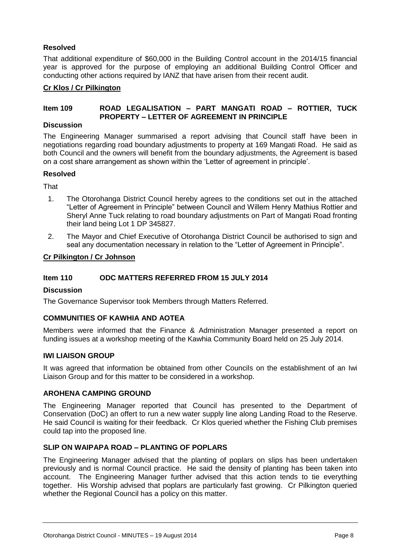# **Resolved**

That additional expenditure of \$60,000 in the Building Control account in the 2014/15 financial year is approved for the purpose of employing an additional Building Control Officer and conducting other actions required by IANZ that have arisen from their recent audit.

# **Cr Klos / Cr Pilkington**

# **Item 109 ROAD LEGALISATION – PART MANGATI ROAD – ROTTIER, TUCK PROPERTY – LETTER OF AGREEMENT IN PRINCIPLE**

#### **Discussion**

The Engineering Manager summarised a report advising that Council staff have been in negotiations regarding road boundary adjustments to property at 169 Mangati Road. He said as both Council and the owners will benefit from the boundary adjustments, the Agreement is based on a cost share arrangement as shown within the 'Letter of agreement in principle'.

#### **Resolved**

**That** 

- 1. The Otorohanga District Council hereby agrees to the conditions set out in the attached "Letter of Agreement in Principle" between Council and Willem Henry Mathius Rottier and Sheryl Anne Tuck relating to road boundary adjustments on Part of Mangati Road fronting their land being Lot 1 DP 345827.
- 2. The Mayor and Chief Executive of Otorohanga District Council be authorised to sign and seal any documentation necessary in relation to the "Letter of Agreement in Principle".

#### **Cr Pilkington / Cr Johnson**

# **Item 110 ODC MATTERS REFERRED FROM 15 JULY 2014**

#### **Discussion**

The Governance Supervisor took Members through Matters Referred.

# **COMMUNITIES OF KAWHIA AND AOTEA**

Members were informed that the Finance & Administration Manager presented a report on funding issues at a workshop meeting of the Kawhia Community Board held on 25 July 2014.

# **IWI LIAISON GROUP**

It was agreed that information be obtained from other Councils on the establishment of an Iwi Liaison Group and for this matter to be considered in a workshop.

# **AROHENA CAMPING GROUND**

The Engineering Manager reported that Council has presented to the Department of Conservation (DoC) an offert to run a new water supply line along Landing Road to the Reserve. He said Council is waiting for their feedback. Cr Klos queried whether the Fishing Club premises could tap into the proposed line.

# **SLIP ON WAIPAPA ROAD – PLANTING OF POPLARS**

The Engineering Manager advised that the planting of poplars on slips has been undertaken previously and is normal Council practice. He said the density of planting has been taken into account. The Engineering Manager further advised that this action tends to tie everything together. His Worship advised that poplars are particularly fast growing. Cr Pilkington queried whether the Regional Council has a policy on this matter.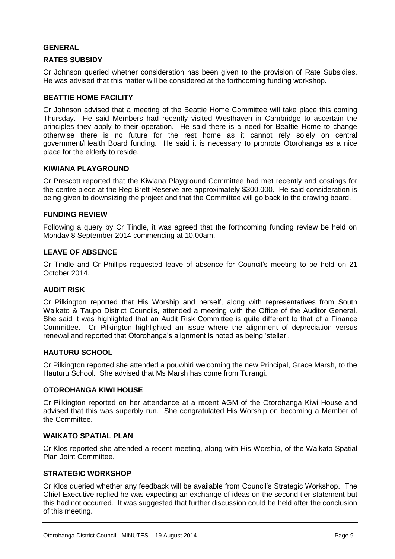# **GENERAL**

# **RATES SUBSIDY**

Cr Johnson queried whether consideration has been given to the provision of Rate Subsidies. He was advised that this matter will be considered at the forthcoming funding workshop.

#### **BEATTIE HOME FACILITY**

Cr Johnson advised that a meeting of the Beattie Home Committee will take place this coming Thursday. He said Members had recently visited Westhaven in Cambridge to ascertain the principles they apply to their operation. He said there is a need for Beattie Home to change otherwise there is no future for the rest home as it cannot rely solely on central government/Health Board funding. He said it is necessary to promote Otorohanga as a nice place for the elderly to reside.

#### **KIWIANA PLAYGROUND**

Cr Prescott reported that the Kiwiana Playground Committee had met recently and costings for the centre piece at the Reg Brett Reserve are approximately \$300,000. He said consideration is being given to downsizing the project and that the Committee will go back to the drawing board.

#### **FUNDING REVIEW**

Following a query by Cr Tindle, it was agreed that the forthcoming funding review be held on Monday 8 September 2014 commencing at 10.00am.

#### **LEAVE OF ABSENCE**

Cr Tindle and Cr Phillips requested leave of absence for Council's meeting to be held on 21 October 2014.

#### **AUDIT RISK**

Cr Pilkington reported that His Worship and herself, along with representatives from South Waikato & Taupo District Councils, attended a meeting with the Office of the Auditor General. She said it was highlighted that an Audit Risk Committee is quite different to that of a Finance Committee. Cr Pilkington highlighted an issue where the alignment of depreciation versus renewal and reported that Otorohanga's alignment is noted as being 'stellar'.

#### **HAUTURU SCHOOL**

Cr Pilkington reported she attended a pouwhiri welcoming the new Principal, Grace Marsh, to the Hauturu School. She advised that Ms Marsh has come from Turangi.

# **OTOROHANGA KIWI HOUSE**

Cr Pilkington reported on her attendance at a recent AGM of the Otorohanga Kiwi House and advised that this was superbly run. She congratulated His Worship on becoming a Member of the Committee.

#### **WAIKATO SPATIAL PLAN**

Cr Klos reported she attended a recent meeting, along with His Worship, of the Waikato Spatial Plan Joint Committee.

#### **STRATEGIC WORKSHOP**

Cr Klos queried whether any feedback will be available from Council's Strategic Workshop. The Chief Executive replied he was expecting an exchange of ideas on the second tier statement but this had not occurred. It was suggested that further discussion could be held after the conclusion of this meeting.